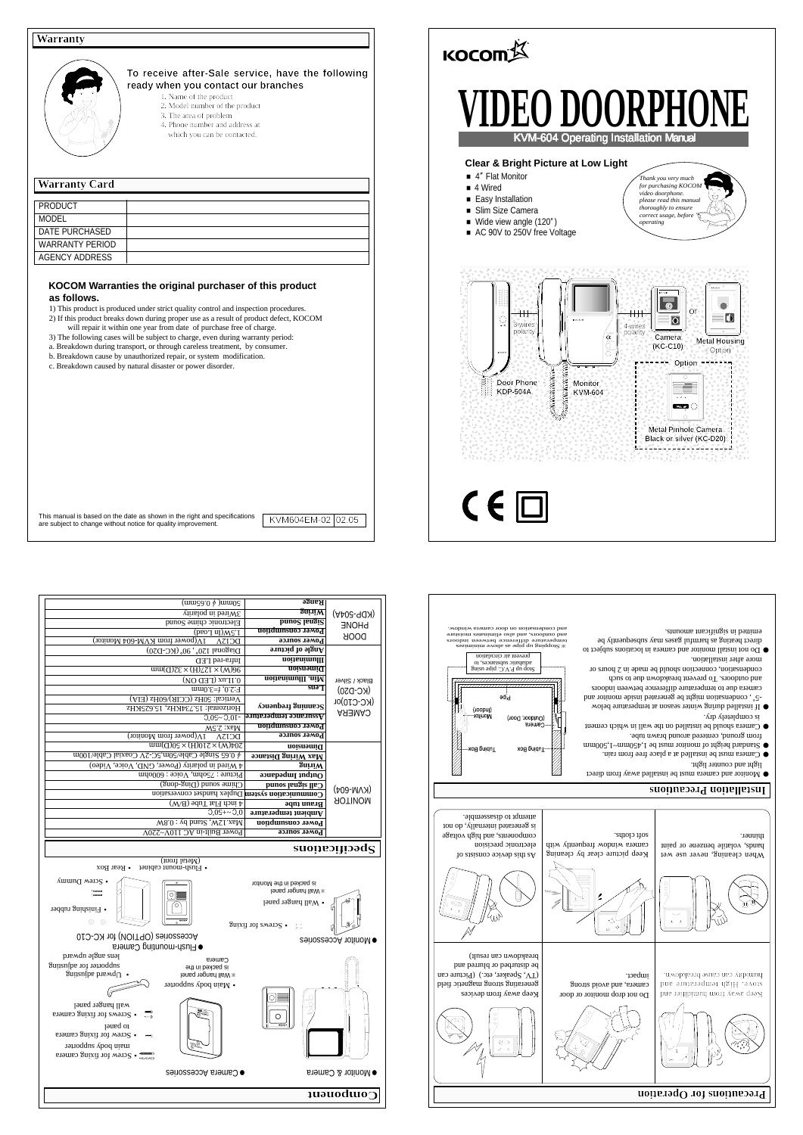| PRODUCT                |  |
|------------------------|--|
| MODEL                  |  |
| DATE PURCHASED         |  |
| <b>WARRANTY PERIOD</b> |  |
| AGENCY ADDRESS         |  |

# **KOCOM Warranties the original purchaser of this product as follows.**

- 1) This product is produced under strict quality control and inspection procedures.
- 2) If this product breaks down during proper use as a result of product defect, KOCOM will repair it within one year from date of purchase free of charge.
- 3) The following cases will be subject to charge, even during warranty period:
- a. Breakdown during transport, or through careless treatment, by consumer.
- 
- 
- 
- 
- 
- 
- b. Breakdown cause by unauthorized repair, or system modification.
- 
- 
- 
- 
- c. Breakdown caused by natural disaster or power disorder.

# **Warranty**



## **Warranty Card**

## **To receive after-Sale service, have the following ready when you contact our branches**

- 1. Name of the product
- 2. Model number of the product
- 3. The area of problem
- 4. Phone number and address at
- which you can be contacted.

- light and counter light.
- 
- $\bullet$  Camera must be installed at a place free from rain.  $\bullet$  Standard height of monitor nointom be 1,500mm  $^\circ$
- from ground, centered around brawn tube.  $\bullet$  Camera should be installed on the wall in which cement
- is completely dry.
- If installed during winter season at temperature below � , condensation might be generated inside monitor and �-5 camera due to temperature difference between indoors
- and outdoors. To prevent breakdown due to such
- condensation, connection should be made in 2 hours or more after installation.
- Do not install monitor and camera in locations subject to � direct heating as harmful gases may subsequently be
- emitted in significant amounts.

|                                                                                                                                               | Range                                                     | $(mugg_0 \phi)$ uuqo                                                                  |  |
|-----------------------------------------------------------------------------------------------------------------------------------------------|-----------------------------------------------------------|---------------------------------------------------------------------------------------|--|
| (KDP-504A)<br><b>PHONE</b><br>DOOR<br><b>Black / Silver</b><br>$(KC-D20)$<br>$(KC-C10)$ or<br><b>CAMERA</b><br>$(KN-N-604)$<br><b>AOTINOM</b> | <b>guiniW</b>                                             | 3Wireloq ni bouWE                                                                     |  |
|                                                                                                                                               | <b>bruoc</b> langi <sup>2</sup>                           | Electronic chime Sound                                                                |  |
|                                                                                                                                               | <b>Power consumption</b>                                  | $(\text{peo} \cdot \text{T} \cdot \text{u})$ <i>MS</i> $\cdot$ I                      |  |
|                                                                                                                                               | Ромет source                                              | 1V(power from KVM-604 Monitor)<br>DCI3A                                               |  |
|                                                                                                                                               | $\sigma$ and $\sigma$ and $\sigma$                        | Diagonal 120°, 90° (KC-D20)                                                           |  |
|                                                                                                                                               | <b>Illumination</b>                                       | Infra-red LED                                                                         |  |
|                                                                                                                                               | noi anni q                                                | $\overline{um(Q) \overline{c} \epsilon \times (H) \overline{c} \Gamma \times (W)}$ 96 |  |
|                                                                                                                                               | Min. Illumination                                         | $0.1$ Lux (LED ON)                                                                    |  |
|                                                                                                                                               | <b>SU<sub>9</sub></b>                                     | $F:2.0, f=3.0$ mm                                                                     |  |
|                                                                                                                                               |                                                           | Vertical: 50Hz (CCIR)/60Hz (EIA)                                                      |  |
|                                                                                                                                               | $\Lambda$ ouənbə. $\mu$ Bujuu $\mathbf{e}$ o $\mathbf{S}$ | Horizontal: 15.734KHz, 15.62SKHz                                                      |  |
|                                                                                                                                               | <b>Assurance temperature</b>                              | $-10.05 - 2.01$                                                                       |  |
|                                                                                                                                               | <b>Power</b> consumption                                  | MS.S.:zaM                                                                             |  |
|                                                                                                                                               | Ромег source                                              | $1V$ (power from Monitor)<br><b>DCISA</b>                                             |  |
|                                                                                                                                               | mension                                                   | $mm(\text{d})0S \times (\text{H})01S \times (\text{W})\uparrow 0S$                    |  |
|                                                                                                                                               | Max Wiring Distance                                       | ∲ 0.65 Single Cable/50m,5C-2V Coaxial Cable/100m                                      |  |
|                                                                                                                                               | $\delta$ uļ. $\mathbf{M}$                                 | 4 Wired in polarity (Power, GND, Voice, Video)                                        |  |
|                                                                                                                                               | $\alpha$ outpadul 1nqin $\alpha$                          | Picture: $7500$ mm, Voice: 6000nm                                                     |  |
|                                                                                                                                               | Call signal sound                                         | Chime sound (Ding-dong)                                                               |  |
|                                                                                                                                               |                                                           | Communication system Duplex handset conversion                                        |  |
|                                                                                                                                               | Braun tube                                                | $\downarrow$ inch Flaf Tube (B/W)                                                     |  |
|                                                                                                                                               | $A$ mbient temperature                                    | $0.05 + 2.0$                                                                          |  |
|                                                                                                                                               | Power consumption                                         | Wax.0: vd bnst2, WSI.xsM                                                              |  |
|                                                                                                                                               | Роwer source                                              | Power Built-in AC 110V~220V                                                           |  |
|                                                                                                                                               |                                                           |                                                                                       |  |
| $\mathbf{S}$ loque suoma                                                                                                                      |                                                           |                                                                                       |  |

- This manual is based on the date as shown in the right and specifications
	- KVM604EM-02 02.05



thinner.

 $\bullet$  Monitor and camera must be installed away from direct

soft cloths.

electronic precision components, and high voltage is generated internally, do not attempt to disassemble.

Stopping up as above minimizes assiminimized as a sqiq qu guiqqold **x**<br>sroobni naswyad asnarshiib animized mana<br>sroobni mayola shaha amarahay<br>suusion salanimila osla bin , aroobno bin

**KOCOMA** 

# **Installation Precautions**

Stop up P.V.C. pipe using adiabatic substances, to prevent air circulation

(Joopu) Monitor.

Tubing Bo:

adid

> (Outdoor, Door) Camera

> > Tubing Box